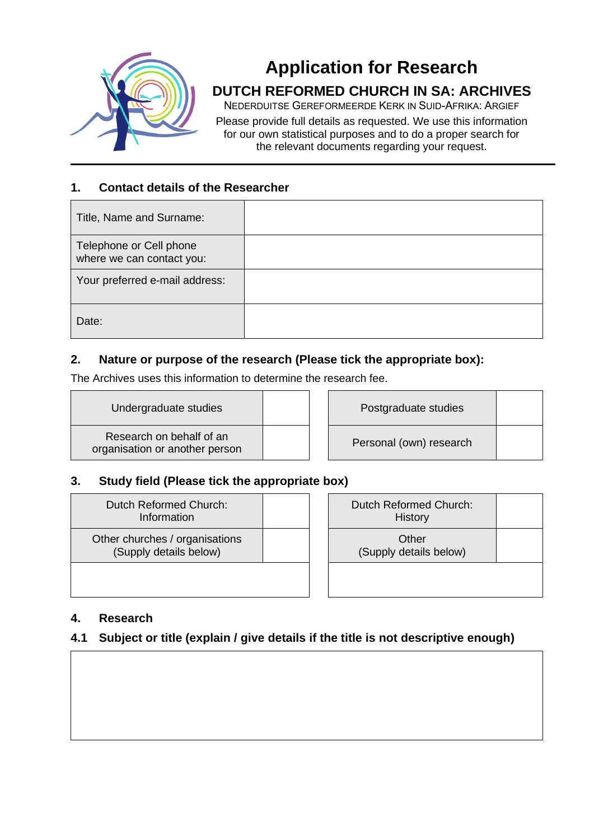

# **Application for Research**

# **DUTCH REFORMED CHURCH IN SA: ARCHIVES**

NEDERDUITSE GEREFORMEERDE KERK IN SUID-AFRIKA: ARGIEF

Please provide full details as requested. We use this information for our own statistical purposes and to do a proper search for the relevant documents regarding your request.

## **1. Contact details of the Researcher**

| Title, Name and Surname:                             |  |
|------------------------------------------------------|--|
| Telephone or Cell phone<br>where we can contact you: |  |
| Your preferred e-mail address:                       |  |
| Date:                                                |  |

# **2. Nature or purpose of the research (Please tick the appropriate box):**

The Archives uses this information to determine the research fee.

Undergraduate studies **Postgraduate studies** 

Research on behalf of an organisation or another person

Personal (own) research

# **3. Study field (Please tick the appropriate box)**

Dutch Reformed Church: Information

Other churches / organisations (Supply details below)

| Dutch Reformed Church:<br><b>History</b> |  |
|------------------------------------------|--|
| Other<br>(Supply details below)          |  |
|                                          |  |

#### **4. Research**

# **4.1 Subject or title (explain / give details if the title is not descriptive enough)**